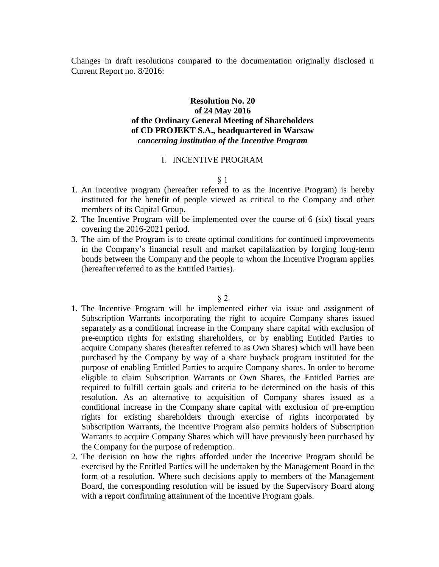Changes in draft resolutions compared to the documentation originally disclosed n Current Report no. 8/2016:

# **Resolution No. 20 of 24 May 2016 of the Ordinary General Meeting of Shareholders of CD PROJEKT S.A., headquartered in Warsaw** *concerning institution of the Incentive Program*

## I. INCENTIVE PROGRAM

#### § 1

- 1. An incentive program (hereafter referred to as the Incentive Program) is hereby instituted for the benefit of people viewed as critical to the Company and other members of its Capital Group.
- 2. The Incentive Program will be implemented over the course of 6 (six) fiscal years covering the 2016-2021 period.
- 3. The aim of the Program is to create optimal conditions for continued improvements in the Company's financial result and market capitalization by forging long-term bonds between the Company and the people to whom the Incentive Program applies (hereafter referred to as the Entitled Parties).

- 1. The Incentive Program will be implemented either via issue and assignment of Subscription Warrants incorporating the right to acquire Company shares issued separately as a conditional increase in the Company share capital with exclusion of pre-emption rights for existing shareholders, or by enabling Entitled Parties to acquire Company shares (hereafter referred to as Own Shares) which will have been purchased by the Company by way of a share buyback program instituted for the purpose of enabling Entitled Parties to acquire Company shares. In order to become eligible to claim Subscription Warrants or Own Shares, the Entitled Parties are required to fulfill certain goals and criteria to be determined on the basis of this resolution. As an alternative to acquisition of Company shares issued as a conditional increase in the Company share capital with exclusion of pre-emption rights for existing shareholders through exercise of rights incorporated by Subscription Warrants, the Incentive Program also permits holders of Subscription Warrants to acquire Company Shares which will have previously been purchased by the Company for the purpose of redemption.
- 2. The decision on how the rights afforded under the Incentive Program should be exercised by the Entitled Parties will be undertaken by the Management Board in the form of a resolution. Where such decisions apply to members of the Management Board, the corresponding resolution will be issued by the Supervisory Board along with a report confirming attainment of the Incentive Program goals.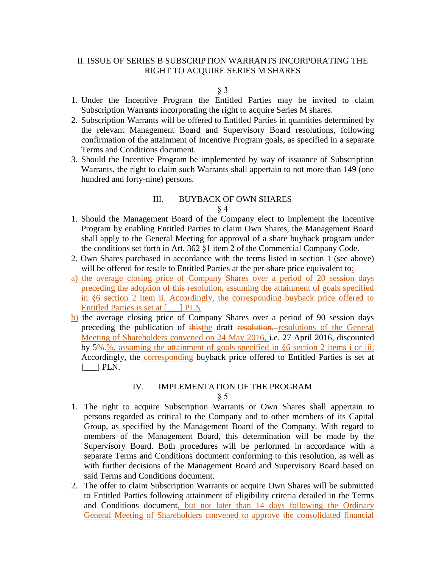# II. ISSUE OF SERIES B SUBSCRIPTION WARRANTS INCORPORATING THE RIGHT TO ACQUIRE SERIES M SHARES

#### § 3

- 1. Under the Incentive Program the Entitled Parties may be invited to claim Subscription Warrants incorporating the right to acquire Series M shares.
- 2. Subscription Warrants will be offered to Entitled Parties in quantities determined by the relevant Management Board and Supervisory Board resolutions, following confirmation of the attainment of Incentive Program goals, as specified in a separate Terms and Conditions document.
- 3. Should the Incentive Program be implemented by way of issuance of Subscription Warrants, the right to claim such Warrants shall appertain to not more than 149 (one hundred and forty-nine) persons.

# III. BUYBACK OF OWN SHARES

## § 4

- 1. Should the Management Board of the Company elect to implement the Incentive Program by enabling Entitled Parties to claim Own Shares, the Management Board shall apply to the General Meeting for approval of a share buyback program under the conditions set forth in Art. 362 §1 item 2 of the Commercial Company Code.
- 2. Own Shares purchased in accordance with the terms listed in section 1 (see above) will be offered for resale to Entitled Parties at the per-share price equivalent to:
- a) the average closing price of Company Shares over a period of 20 session days preceding the adoption of this resolution, assuming the attainment of goals specified in §6 section 2 item ii. Accordingly, the corresponding buyback price offered to Entitled Parties is set at [\_\_\_] PLN
- b) the average closing price of Company Shares over a period of 90 session days preceding the publication of thisthe draft resolution, resolutions of the General Meeting of Shareholders convened on 24 May 2016, i.e. 27 April 2016, discounted by 5%.%, assuming the attainment of goals specified in §6 section 2 items i or iii. Accordingly, the corresponding buyback price offered to Entitled Parties is set at  $[\_\]$  PLN.

# IV. IMPLEMENTATION OF THE PROGRAM

- 1. The right to acquire Subscription Warrants or Own Shares shall appertain to persons regarded as critical to the Company and to other members of its Capital Group, as specified by the Management Board of the Company. With regard to members of the Management Board, this determination will be made by the Supervisory Board. Both procedures will be performed in accordance with a separate Terms and Conditions document conforming to this resolution, as well as with further decisions of the Management Board and Supervisory Board based on said Terms and Conditions document.
- 2. The offer to claim Subscription Warrants or acquire Own Shares will be submitted to Entitled Parties following attainment of eligibility criteria detailed in the Terms and Conditions document, but not later than 14 days following the Ordinary General Meeting of Shareholders convened to approve the consolidated financial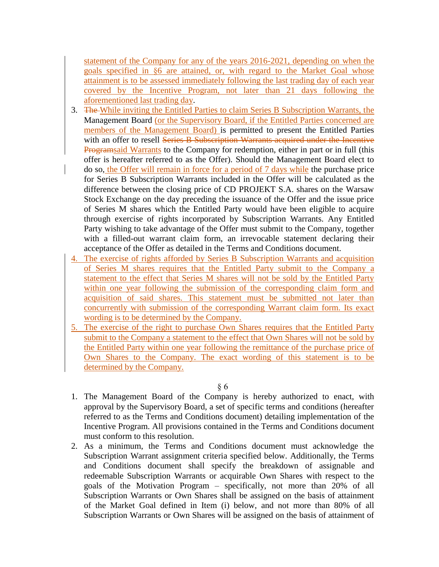statement of the Company for any of the years 2016-2021, depending on when the goals specified in §6 are attained, or, with regard to the Market Goal whose attainment is to be assessed immediately following the last trading day of each year covered by the Incentive Program, not later than 21 days following the aforementioned last trading day.

- 3. The While inviting the Entitled Parties to claim Series B Subscription Warrants, the Management Board (or the Supervisory Board, if the Entitled Parties concerned are members of the Management Board) is permitted to present the Entitled Parties with an offer to resell Series B Subscription Warrants acquired under the Incentive Programsaid Warrants to the Company for redemption, either in part or in full (this offer is hereafter referred to as the Offer). Should the Management Board elect to do so, the Offer will remain in force for a period of 7 days while the purchase price for Series B Subscription Warrants included in the Offer will be calculated as the difference between the closing price of CD PROJEKT S.A. shares on the Warsaw Stock Exchange on the day preceding the issuance of the Offer and the issue price of Series M shares which the Entitled Party would have been eligible to acquire through exercise of rights incorporated by Subscription Warrants. Any Entitled Party wishing to take advantage of the Offer must submit to the Company, together with a filled-out warrant claim form, an irrevocable statement declaring their acceptance of the Offer as detailed in the Terms and Conditions document.
- 4. The exercise of rights afforded by Series B Subscription Warrants and acquisition of Series M shares requires that the Entitled Party submit to the Company a statement to the effect that Series M shares will not be sold by the Entitled Party within one year following the submission of the corresponding claim form and acquisition of said shares. This statement must be submitted not later than concurrently with submission of the corresponding Warrant claim form. Its exact wording is to be determined by the Company.
- 5. The exercise of the right to purchase Own Shares requires that the Entitled Party submit to the Company a statement to the effect that Own Shares will not be sold by the Entitled Party within one year following the remittance of the purchase price of Own Shares to the Company. The exact wording of this statement is to be determined by the Company.

- 1. The Management Board of the Company is hereby authorized to enact, with approval by the Supervisory Board, a set of specific terms and conditions (hereafter referred to as the Terms and Conditions document) detailing implementation of the Incentive Program. All provisions contained in the Terms and Conditions document must conform to this resolution.
- 2. As a minimum, the Terms and Conditions document must acknowledge the Subscription Warrant assignment criteria specified below. Additionally, the Terms and Conditions document shall specify the breakdown of assignable and redeemable Subscription Warrants or acquirable Own Shares with respect to the goals of the Motivation Program – specifically, not more than 20% of all Subscription Warrants or Own Shares shall be assigned on the basis of attainment of the Market Goal defined in Item (i) below, and not more than 80% of all Subscription Warrants or Own Shares will be assigned on the basis of attainment of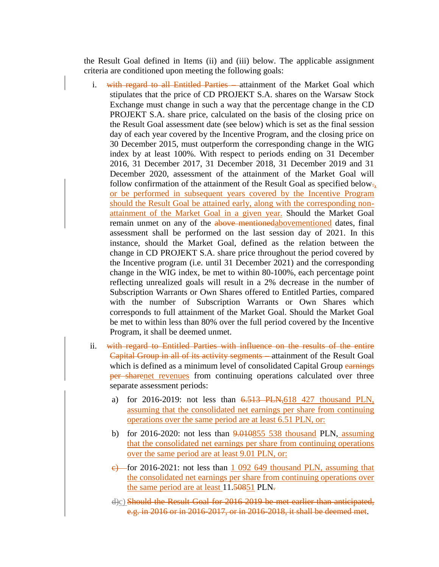the Result Goal defined in Items (ii) and (iii) below. The applicable assignment criteria are conditioned upon meeting the following goals:

- i. with regard to all Entitled Parties —attainment of the Market Goal which stipulates that the price of CD PROJEKT S.A. shares on the Warsaw Stock Exchange must change in such a way that the percentage change in the CD PROJEKT S.A. share price, calculated on the basis of the closing price on the Result Goal assessment date (see below) which is set as the final session day of each year covered by the Incentive Program, and the closing price on 30 December 2015, must outperform the corresponding change in the WIG index by at least 100%. With respect to periods ending on 31 December 2016, 31 December 2017, 31 December 2018, 31 December 2019 and 31 December 2020, assessment of the attainment of the Market Goal will follow confirmation of the attainment of the Result Goal as specified below. or be performed in subsequent years covered by the Incentive Program should the Result Goal be attained early, along with the corresponding nonattainment of the Market Goal in a given year. Should the Market Goal remain unmet on any of the above mentionedabovementioned dates, final assessment shall be performed on the last session day of 2021. In this instance, should the Market Goal, defined as the relation between the change in CD PROJEKT S.A. share price throughout the period covered by the Incentive program (i.e. until 31 December 2021) and the corresponding change in the WIG index, be met to within 80-100%, each percentage point reflecting unrealized goals will result in a 2% decrease in the number of Subscription Warrants or Own Shares offered to Entitled Parties, compared with the number of Subscription Warrants or Own Shares which corresponds to full attainment of the Market Goal. Should the Market Goal be met to within less than 80% over the full period covered by the Incentive Program, it shall be deemed unmet.
- ii. with regard to Entitled Parties with influence on the results of the entire Capital Group in all of its activity segments – attainment of the Result Goal which is defined as a minimum level of consolidated Capital Group earnings per sharenet revenues from continuing operations calculated over three separate assessment periods:
	- a) for 2016-2019: not less than 6.513 PLN,618 427 thousand PLN, assuming that the consolidated net earnings per share from continuing operations over the same period are at least 6.51 PLN, or:
	- b) for 2016-2020: not less than  $9.010855$  538 thousand PLN, assuming that the consolidated net earnings per share from continuing operations over the same period are at least 9.01 PLN, or:
	- $\epsilon$ ) for 2016-2021: not less than 1 092 649 thousand PLN, assuming that the consolidated net earnings per share from continuing operations over the same period are at least 11.50851 PLN.
	- d)c) Should the Result Goal for 2016-2019 be met earlier than anticipated, e.g. in 2016 or in 2016-2017, or in 2016-2018, it shall be deemed met.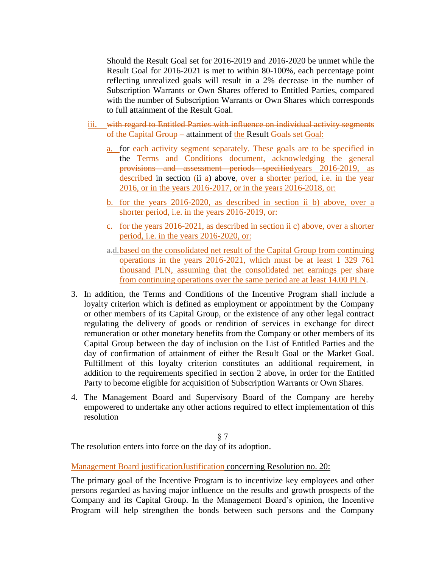Should the Result Goal set for 2016-2019 and 2016-2020 be unmet while the Result Goal for 2016-2021 is met to within 80-100%, each percentage point reflecting unrealized goals will result in a 2% decrease in the number of Subscription Warrants or Own Shares offered to Entitled Parties, compared with the number of Subscription Warrants or Own Shares which corresponds to full attainment of the Result Goal.

- iii. with regard to Entitled Parties with influence on individual activity segments of the Capital Group – attainment of the Result Goals set Goal:
	- a. for each activity segment separately. These goals are to be specified in the Terms and Conditions document, acknowledging the general provisions and assessment periods specifiedyears 2016-2019, as described in section  $(ii a)$  above, over a shorter period, i.e. in the year 2016, or in the years 2016-2017, or in the years 2016-2018, or:
	- b. for the years 2016-2020, as described in section ii b) above, over a shorter period, i.e. in the years 2016-2019, or:
	- c. for the years 2016-2021, as described in section ii c) above, over a shorter period, i.e. in the years 2016-2020, or:
	- a.d.based on the consolidated net result of the Capital Group from continuing operations in the years 2016-2021, which must be at least 1 329 761 thousand PLN, assuming that the consolidated net earnings per share from continuing operations over the same period are at least 14.00 PLN.
- 3. In addition, the Terms and Conditions of the Incentive Program shall include a loyalty criterion which is defined as employment or appointment by the Company or other members of its Capital Group, or the existence of any other legal contract regulating the delivery of goods or rendition of services in exchange for direct remuneration or other monetary benefits from the Company or other members of its Capital Group between the day of inclusion on the List of Entitled Parties and the day of confirmation of attainment of either the Result Goal or the Market Goal. Fulfillment of this loyalty criterion constitutes an additional requirement, in addition to the requirements specified in section 2 above, in order for the Entitled Party to become eligible for acquisition of Subscription Warrants or Own Shares.
- 4. The Management Board and Supervisory Board of the Company are hereby empowered to undertake any other actions required to effect implementation of this resolution

§ 7 The resolution enters into force on the day of its adoption.

Management Board justification Justification concerning Resolution no. 20:

The primary goal of the Incentive Program is to incentivize key employees and other persons regarded as having major influence on the results and growth prospects of the Company and its Capital Group. In the Management Board's opinion, the Incentive Program will help strengthen the bonds between such persons and the Company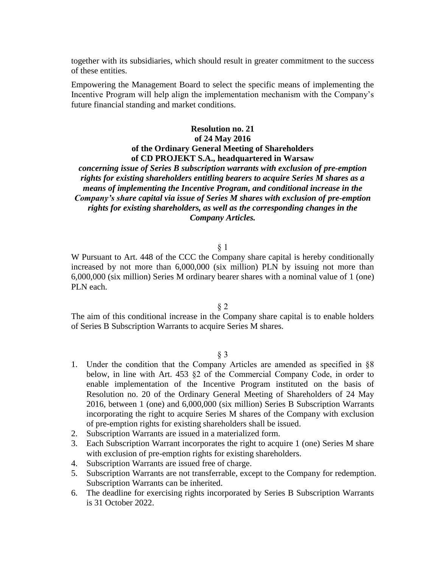together with its subsidiaries, which should result in greater commitment to the success of these entities.

Empowering the Management Board to select the specific means of implementing the Incentive Program will help align the implementation mechanism with the Company's future financial standing and market conditions.

# **Resolution no. 21 of 24 May 2016 of the Ordinary General Meeting of Shareholders of CD PROJEKT S.A., headquartered in Warsaw**

# *concerning issue of Series B subscription warrants with exclusion of pre-emption rights for existing shareholders entitling bearers to acquire Series M shares as a means of implementing the Incentive Program, and conditional increase in the Company's share capital via issue of Series M shares with exclusion of pre-emption rights for existing shareholders, as well as the corresponding changes in the Company Articles.*

## § 1

W Pursuant to Art. 448 of the CCC the Company share capital is hereby conditionally increased by not more than 6,000,000 (six million) PLN by issuing not more than 6,000,000 (six million) Series M ordinary bearer shares with a nominal value of 1 (one) PLN each.

## § 2

The aim of this conditional increase in the Company share capital is to enable holders of Series B Subscription Warrants to acquire Series M shares.

- 1. Under the condition that the Company Articles are amended as specified in §8 below, in line with Art. 453 §2 of the Commercial Company Code, in order to enable implementation of the Incentive Program instituted on the basis of Resolution no. 20 of the Ordinary General Meeting of Shareholders of 24 May 2016, between 1 (one) and 6,000,000 (six million) Series B Subscription Warrants incorporating the right to acquire Series M shares of the Company with exclusion of pre-emption rights for existing shareholders shall be issued.
- 2. Subscription Warrants are issued in a materialized form.
- 3. Each Subscription Warrant incorporates the right to acquire 1 (one) Series M share with exclusion of pre-emption rights for existing shareholders.
- 4. Subscription Warrants are issued free of charge.
- 5. Subscription Warrants are not transferrable, except to the Company for redemption. Subscription Warrants can be inherited.
- 6. The deadline for exercising rights incorporated by Series B Subscription Warrants is 31 October 2022.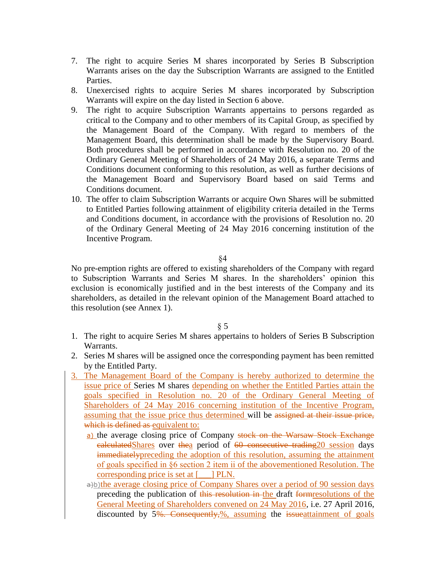- 7. The right to acquire Series M shares incorporated by Series B Subscription Warrants arises on the day the Subscription Warrants are assigned to the Entitled Parties.
- 8. Unexercised rights to acquire Series M shares incorporated by Subscription Warrants will expire on the day listed in Section 6 above.
- 9. The right to acquire Subscription Warrants appertains to persons regarded as critical to the Company and to other members of its Capital Group, as specified by the Management Board of the Company. With regard to members of the Management Board, this determination shall be made by the Supervisory Board. Both procedures shall be performed in accordance with Resolution no. 20 of the Ordinary General Meeting of Shareholders of 24 May 2016, a separate Terms and Conditions document conforming to this resolution, as well as further decisions of the Management Board and Supervisory Board based on said Terms and Conditions document.
- 10. The offer to claim Subscription Warrants or acquire Own Shares will be submitted to Entitled Parties following attainment of eligibility criteria detailed in the Terms and Conditions document, in accordance with the provisions of Resolution no. 20 of the Ordinary General Meeting of 24 May 2016 concerning institution of the Incentive Program.

§4

No pre-emption rights are offered to existing shareholders of the Company with regard to Subscription Warrants and Series M shares. In the shareholders' opinion this exclusion is economically justified and in the best interests of the Company and its shareholders, as detailed in the relevant opinion of the Management Board attached to this resolution (see Annex 1).

- 1. The right to acquire Series M shares appertains to holders of Series B Subscription Warrants.
- 2. Series M shares will be assigned once the corresponding payment has been remitted by the Entitled Party.
- 3. The Management Board of the Company is hereby authorized to determine the issue price of Series M shares depending on whether the Entitled Parties attain the goals specified in Resolution no. 20 of the Ordinary General Meeting of Shareholders of 24 May 2016 concerning institution of the Incentive Program, assuming that the issue price thus determined will be assigned at their issue price, which is defined as equivalent to:
	- a) the average closing price of Company stock on the Warsaw Stock Exchange calculatedShares over thea period of 60 consecutive trading20 session days immediatelypreceding the adoption of this resolution, assuming the attainment of goals specified in §6 section 2 item ii of the abovementioned Resolution. The corresponding price is set at [\_\_\_] PLN.
	- a)b)the average closing price of Company Shares over a period of 90 session days preceding the publication of this resolution in the draft formresolutions of the General Meeting of Shareholders convened on 24 May 2016, i.e. 27 April 2016, discounted by 5<del>%. Consequently, %</del>, assuming the issued attainment of goals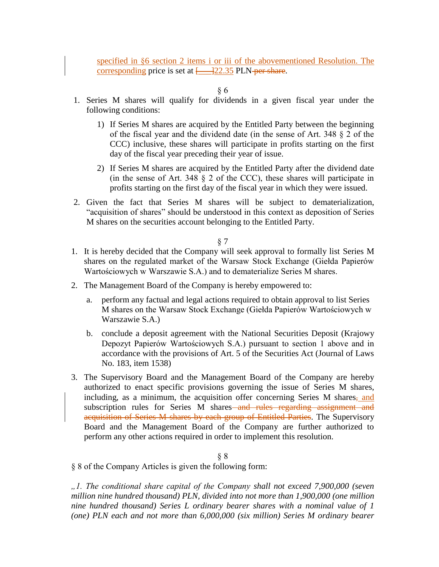specified in §6 section 2 items i or iii of the abovementioned Resolution. The corresponding price is set at  $\frac{122.35}{22.35}$  PLN-per share.

§ 6

- 1. Series M shares will qualify for dividends in a given fiscal year under the following conditions:
	- 1) If Series M shares are acquired by the Entitled Party between the beginning of the fiscal year and the dividend date (in the sense of Art. 348 § 2 of the CCC) inclusive, these shares will participate in profits starting on the first day of the fiscal year preceding their year of issue.
	- 2) If Series M shares are acquired by the Entitled Party after the dividend date (in the sense of Art. 348 § 2 of the CCC), these shares will participate in profits starting on the first day of the fiscal year in which they were issued.
- 2. Given the fact that Series M shares will be subject to dematerialization, "acquisition of shares" should be understood in this context as deposition of Series M shares on the securities account belonging to the Entitled Party.

## § 7

- 1. It is hereby decided that the Company will seek approval to formally list Series M shares on the regulated market of the Warsaw Stock Exchange (Giełda Papierów Wartościowych w Warszawie S.A.) and to dematerialize Series M shares.
- 2. The Management Board of the Company is hereby empowered to:
	- a. perform any factual and legal actions required to obtain approval to list Series M shares on the Warsaw Stock Exchange (Giełda Papierów Wartościowych w Warszawie S.A.)
	- b. conclude a deposit agreement with the National Securities Deposit (Krajowy Depozyt Papierów Wartościowych S.A.) pursuant to section 1 above and in accordance with the provisions of Art. 5 of the Securities Act (Journal of Laws No. 183, item 1538)
- 3. The Supervisory Board and the Management Board of the Company are hereby authorized to enact specific provisions governing the issue of Series M shares, including, as a minimum, the acquisition offer concerning Series M shares, and subscription rules for Series M shares and rules regarding assignment and acquisition of Series M shares by each group of Entitled Parties. The Supervisory Board and the Management Board of the Company are further authorized to perform any other actions required in order to implement this resolution.

## § 8

§ 8 of the Company Articles is given the following form:

*"1. The conditional share capital of the Company shall not exceed 7,900,000 (seven million nine hundred thousand) PLN, divided into not more than 1,900,000 (one million nine hundred thousand) Series L ordinary bearer shares with a nominal value of 1 (one) PLN each and not more than 6,000,000 (six million) Series M ordinary bearer*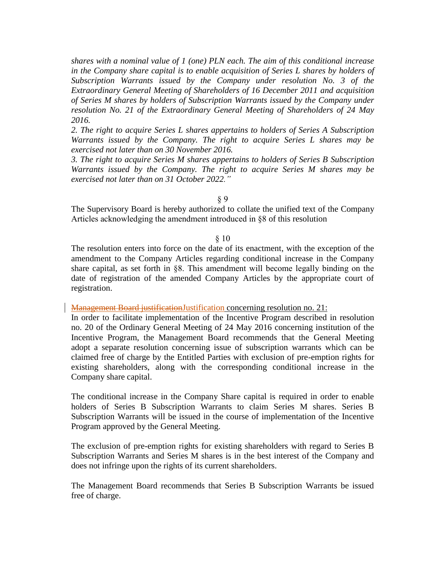*shares with a nominal value of 1 (one) PLN each. The aim of this conditional increase in the Company share capital is to enable acquisition of Series L shares by holders of Subscription Warrants issued by the Company under resolution No. 3 of the Extraordinary General Meeting of Shareholders of 16 December 2011 and acquisition of Series M shares by holders of Subscription Warrants issued by the Company under resolution No. 21 of the Extraordinary General Meeting of Shareholders of 24 May 2016.*

*2. The right to acquire Series L shares appertains to holders of Series A Subscription Warrants issued by the Company. The right to acquire Series L shares may be exercised not later than on 30 November 2016.*

*3. The right to acquire Series M shares appertains to holders of Series B Subscription Warrants issued by the Company. The right to acquire Series M shares may be exercised not later than on 31 October 2022."*

§ 9

The Supervisory Board is hereby authorized to collate the unified text of the Company Articles acknowledging the amendment introduced in §8 of this resolution

#### § 10

The resolution enters into force on the date of its enactment, with the exception of the amendment to the Company Articles regarding conditional increase in the Company share capital, as set forth in §8. This amendment will become legally binding on the date of registration of the amended Company Articles by the appropriate court of registration.

Management Board justificationJustification concerning resolution no. 21:

In order to facilitate implementation of the Incentive Program described in resolution no. 20 of the Ordinary General Meeting of 24 May 2016 concerning institution of the Incentive Program, the Management Board recommends that the General Meeting adopt a separate resolution concerning issue of subscription warrants which can be claimed free of charge by the Entitled Parties with exclusion of pre-emption rights for existing shareholders, along with the corresponding conditional increase in the Company share capital.

The conditional increase in the Company Share capital is required in order to enable holders of Series B Subscription Warrants to claim Series M shares. Series B Subscription Warrants will be issued in the course of implementation of the Incentive Program approved by the General Meeting.

The exclusion of pre-emption rights for existing shareholders with regard to Series B Subscription Warrants and Series M shares is in the best interest of the Company and does not infringe upon the rights of its current shareholders.

The Management Board recommends that Series B Subscription Warrants be issued free of charge.